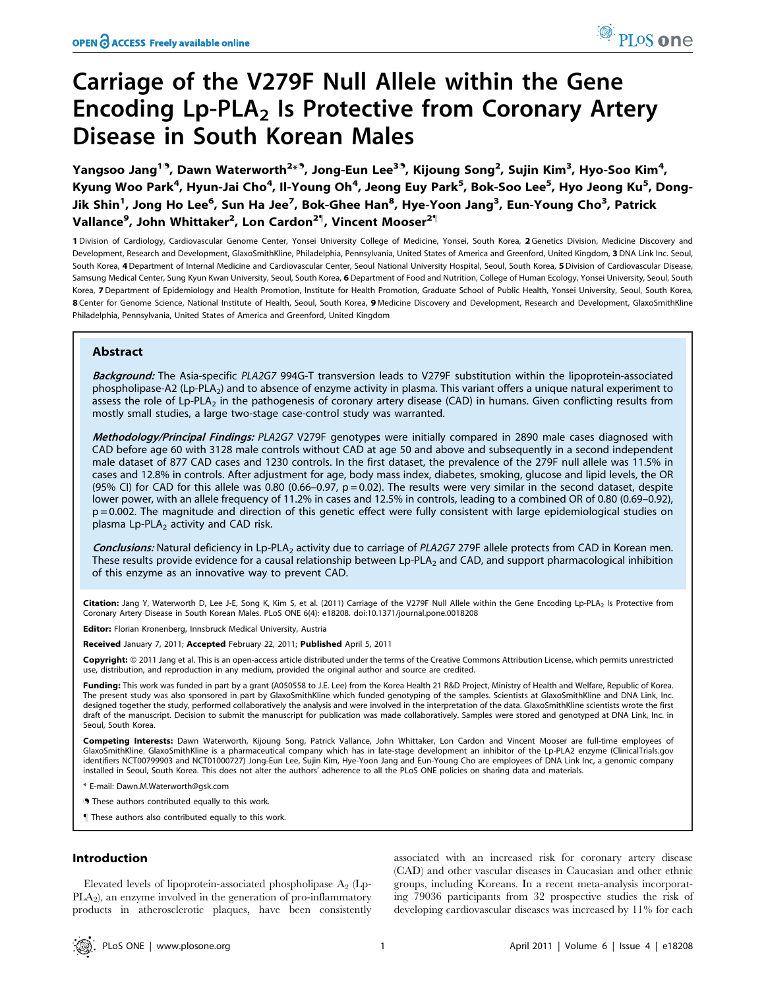# Carriage of the V279F Null Allele within the Gene Encoding  $Lp-PLA<sub>2</sub>$  Is Protective from Coronary Artery Disease in South Korean Males

Yangsoo Jang $^{19}$ , Dawn Waterworth $^{2\star9}$ , Jong-Eun Lee $^{39}$ , Kijoung Song $^2$ , Sujin Kim $^3$ , Hyo-Soo Kim $^4$ , Kyung Woo Park<sup>4</sup>, Hyun-Jai Cho<sup>4</sup>, Il-Young Oh<sup>4</sup>, Jeong Euy Park<sup>5</sup>, Bok-Soo Lee<sup>5</sup>, Hyo Jeong Ku<sup>5</sup>, Dong-Jik Shin<sup>1</sup>, Jong Ho Lee<sup>6</sup>, Sun Ha Jee<sup>7</sup>, Bok-Ghee Han<sup>8</sup>, Hye-Yoon Jang<sup>3</sup>, Eun-Young Cho<sup>3</sup>, Patrick Vallance<sup>9</sup>, John Whittaker<sup>2</sup>, Lon Cardon<sup>2¶</sup>, Vincent Mooser<sup>2¶</sup>

1 Division of Cardiology, Cardiovascular Genome Center, Yonsei University College of Medicine, Yonsei, South Korea, 2 Genetics Division, Medicine Discovery and Development, Research and Development, GlaxoSmithKline, Philadelphia, Pennsylvania, United States of America and Greenford, United Kingdom, 3 DNA Link Inc. Seoul, South Korea, 4 Department of Internal Medicine and Cardiovascular Center, Seoul National University Hospital, Seoul, South Korea, 5 Division of Cardiovascular Disease, Samsung Medical Center, Sung Kyun Kwan University, Seoul, South Korea, 6 Department of Food and Nutrition, College of Human Ecology, Yonsei University, Seoul, South Korea, 7Department of Epidemiology and Health Promotion, Institute for Health Promotion, Graduate School of Public Health, Yonsei University, Seoul, South Korea, 8 Center for Genome Science, National Institute of Health, Seoul, South Korea, 9 Medicine Discovery and Development, Research and Development, GlaxoSmithKline Philadelphia, Pennsylvania, United States of America and Greenford, United Kingdom

# Abstract

Background: The Asia-specific PLA2G7 994G-T transversion leads to V279F substitution within the lipoprotein-associated phospholipase-A2 (Lp-PLA<sub>2</sub>) and to absence of enzyme activity in plasma. This variant offers a unique natural experiment to assess the role of Lp-PLA<sub>2</sub> in the pathogenesis of coronary artery disease (CAD) in humans. Given conflicting results from mostly small studies, a large two-stage case-control study was warranted.

Methodology/Principal Findings: PLA2G7 V279F genotypes were initially compared in 2890 male cases diagnosed with CAD before age 60 with 3128 male controls without CAD at age 50 and above and subsequently in a second independent male dataset of 877 CAD cases and 1230 controls. In the first dataset, the prevalence of the 279F null allele was 11.5% in cases and 12.8% in controls. After adjustment for age, body mass index, diabetes, smoking, glucose and lipid levels, the OR (95% CI) for CAD for this allele was 0.80 (0.66–0.97,  $p = 0.02$ ). The results were very similar in the second dataset, despite lower power, with an allele frequency of 11.2% in cases and 12.5% in controls, leading to a combined OR of 0.80 (0.69–0.92), p = 0.002. The magnitude and direction of this genetic effect were fully consistent with large epidemiological studies on plasma  $Lp$ -PLA<sub>2</sub> activity and CAD risk.

Conclusions: Natural deficiency in Lp-PLA<sub>2</sub> activity due to carriage of PLA2G7 279F allele protects from CAD in Korean men. These results provide evidence for a causal relationship between Lp-PLA<sub>2</sub> and CAD, and support pharmacological inhibition of this enzyme as an innovative way to prevent CAD.

Citation: Jang Y, Waterworth D, Lee J-E, Song K, Kim S, et al. (2011) Carriage of the V279F Null Allele within the Gene Encoding Lp-PLA<sub>2</sub> Is Protective from Coronary Artery Disease in South Korean Males. PLoS ONE 6(4): e18208. doi:10.1371/journal.pone.0018208

Editor: Florian Kronenberg, Innsbruck Medical University, Austria

Received January 7, 2011; Accepted February 22, 2011; Published April 5, 2011

Copyright: © 2011 Jang et al. This is an open-access article distributed under the terms of the Creative Commons Attribution License, which permits unrestricted use, distribution, and reproduction in any medium, provided the original author and source are credited.

Funding: This work was funded in part by a grant (A050558 to J.E. Lee) from the Korea Health 21 R&D Project, Ministry of Health and Welfare, Republic of Korea. The present study was also sponsored in part by GlaxoSmithKline which funded genotyping of the samples. Scientists at GlaxoSmithKline and DNA Link, Inc. designed together the study, performed collaboratively the analysis and were involved in the interpretation of the data. GlaxoSmithKline scientists wrote the first draft of the manuscript. Decision to submit the manuscript for publication was made collaboratively. Samples were stored and genotyped at DNA Link, Inc. in Seoul, South Korea.

Competing Interests: Dawn Waterworth, Kijoung Song, Patrick Vallance, John Whittaker, Lon Cardon and Vincent Mooser are full-time employees of GlaxoSmithKline. GlaxoSmithKline is a pharmaceutical company which has in late-stage development an inhibitor of the Lp-PLA2 enzyme (ClinicalTrials.gov identifiers NCT00799903 and NCT01000727) Jong-Eun Lee, Sujin Kim, Hye-Yoon Jang and Eun-Young Cho are employees of DNA Link Inc, a genomic company installed in Seoul, South Korea. This does not alter the authors' adherence to all the PLoS ONE policies on sharing data and materials.

\* E-mail: Dawn.M.Waterworth@gsk.com

. These authors contributed equally to this work.

" These authors also contributed equally to this work.

## Introduction

Elevated levels of lipoprotein-associated phospholipase  $A_2$  (Lp-PLA2), an enzyme involved in the generation of pro-inflammatory products in atherosclerotic plaques, have been consistently

associated with an increased risk for coronary artery disease (CAD) and other vascular diseases in Caucasian and other ethnic groups, including Koreans. In a recent meta-analysis incorporating 79036 participants from 32 prospective studies the risk of developing cardiovascular diseases was increased by 11% for each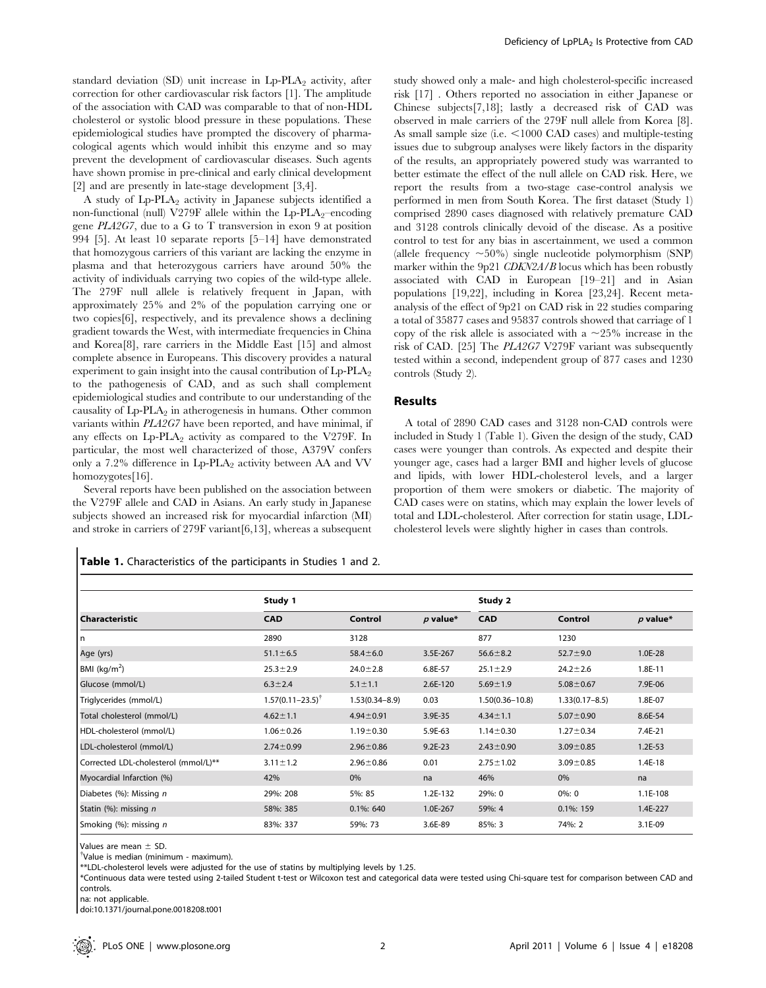standard deviation (SD) unit increase in  $L_p$ -PLA<sub>2</sub> activity, after correction for other cardiovascular risk factors [1]. The amplitude of the association with CAD was comparable to that of non-HDL cholesterol or systolic blood pressure in these populations. These epidemiological studies have prompted the discovery of pharmacological agents which would inhibit this enzyme and so may prevent the development of cardiovascular diseases. Such agents have shown promise in pre-clinical and early clinical development [2] and are presently in late-stage development [3,4].

A study of Lp-PLA<sub>2</sub> activity in Japanese subjects identified a non-functional (null) V279F allele within the  $L_p$ -PLA<sub>2</sub>–encoding gene PLA2G7, due to a G to T transversion in exon 9 at position 994 [5]. At least 10 separate reports [5–14] have demonstrated that homozygous carriers of this variant are lacking the enzyme in plasma and that heterozygous carriers have around 50% the activity of individuals carrying two copies of the wild-type allele. The 279F null allele is relatively frequent in Japan, with approximately 25% and 2% of the population carrying one or two copies[6], respectively, and its prevalence shows a declining gradient towards the West, with intermediate frequencies in China and Korea[8], rare carriers in the Middle East [15] and almost complete absence in Europeans. This discovery provides a natural experiment to gain insight into the causal contribution of  $\text{Lp-PLA}_2$ to the pathogenesis of CAD, and as such shall complement epidemiological studies and contribute to our understanding of the causality of  $L_p-PLA_2$  in atherogenesis in humans. Other common variants within PLA2G7 have been reported, and have minimal, if any effects on  $L_p\text{-PLA}_2$  activity as compared to the V279F. In particular, the most well characterized of those, A379V confers only a 7.2% difference in  $L_p$ -PLA<sub>2</sub> activity between AA and VV homozygotes[16].

Several reports have been published on the association between the V279F allele and CAD in Asians. An early study in Japanese subjects showed an increased risk for myocardial infarction (MI) and stroke in carriers of 279F variant[6,13], whereas a subsequent

Table 1. Characteristics of the participants in Studies 1 and 2.

study showed only a male- and high cholesterol-specific increased risk [17] . Others reported no association in either Japanese or Chinese subjects[7,18]; lastly a decreased risk of CAD was observed in male carriers of the 279F null allele from Korea [8]. As small sample size (i.e. <1000 CAD cases) and multiple-testing issues due to subgroup analyses were likely factors in the disparity of the results, an appropriately powered study was warranted to better estimate the effect of the null allele on CAD risk. Here, we report the results from a two-stage case-control analysis we performed in men from South Korea. The first dataset (Study 1) comprised 2890 cases diagnosed with relatively premature CAD and 3128 controls clinically devoid of the disease. As a positive control to test for any bias in ascertainment, we used a common (allele frequency  $\sim 50\%$ ) single nucleotide polymorphism (SNP) marker within the 9p21 CDKN2A/B locus which has been robustly associated with CAD in European [19–21] and in Asian populations [19,22], including in Korea [23,24]. Recent metaanalysis of the effect of 9p21 on CAD risk in 22 studies comparing a total of 35877 cases and 95837 controls showed that carriage of 1 copy of the risk allele is associated with a  $\sim$ 25% increase in the risk of CAD. [25] The PLA2G7 V279F variant was subsequently tested within a second, independent group of 877 cases and 1230 controls (Study 2).

## Results

A total of 2890 CAD cases and 3128 non-CAD controls were included in Study 1 (Table 1). Given the design of the study, CAD cases were younger than controls. As expected and despite their younger age, cases had a larger BMI and higher levels of glucose and lipids, with lower HDL-cholesterol levels, and a larger proportion of them were smokers or diabetic. The majority of CAD cases were on statins, which may explain the lower levels of total and LDL-cholesterol. After correction for statin usage, LDLcholesterol levels were slightly higher in cases than controls.

|                                      | Study 1                       |                    | Study 2    |                     |                    |            |
|--------------------------------------|-------------------------------|--------------------|------------|---------------------|--------------------|------------|
| <b>Characteristic</b>                | <b>CAD</b>                    | Control            | $p$ value* | <b>CAD</b>          | Control            | $p$ value* |
| l n                                  | 2890                          | 3128               |            | 877                 | 1230               |            |
| Age (yrs)                            | $51.1 \pm 6.5$                | $58.4 \pm 6.0$     | 3.5E-267   | $56.6 \pm 8.2$      | $52.7 \pm 9.0$     | 1.0E-28    |
| BM (kg/m <sup>2</sup> )              | $25.3 \pm 2.9$                | $24.0 \pm 2.8$     | 6.8E-57    | $25.1 \pm 2.9$      | $24.2 \pm 2.6$     | 1.8E-11    |
| Glucose (mmol/L)                     | $6.3 \pm 2.4$                 | $5.1 \pm 1.1$      | 2.6E-120   | $5.69 \pm 1.9$      | $5.08 \pm 0.67$    | 7.9E-06    |
| Triglycerides (mmol/L)               | $1.57(0.11 - 23.5)^{\dagger}$ | $1.53(0.34 - 8.9)$ | 0.03       | $1.50(0.36 - 10.8)$ | $1.33(0.17 - 8.5)$ | 1.8E-07    |
| Total cholesterol (mmol/L)           | $4.62 \pm 1.1$                | $4.94 \pm 0.91$    | 3.9E-35    | $4.34 \pm 1.1$      | $5.07 \pm 0.90$    | 8.6E-54    |
| HDL-cholesterol (mmol/L)             | $1.06 \pm 0.26$               | $1.19 \pm 0.30$    | 5.9E-63    | $1.14 \pm 0.30$     | $1.27 \pm 0.34$    | 7.4E-21    |
| LDL-cholesterol (mmol/L)             | $2.74 \pm 0.99$               | $2.96 \pm 0.86$    | $9.2E-23$  | $2.43 \pm 0.90$     | $3.09 \pm 0.85$    | $1.2E-53$  |
| Corrected LDL-cholesterol (mmol/L)** | $3.11 \pm 1.2$                | $2.96 \pm 0.86$    | 0.01       | $2.75 \pm 1.02$     | $3.09 \pm 0.85$    | 1.4E-18    |
| Myocardial Infarction (%)            | 42%                           | 0%                 | na         | 46%                 | 0%                 | na         |
| Diabetes (%): Missing n              | 29%: 208                      | 5%: 85             | 1.2E-132   | 29%: 0              | $0\%: 0$           | 1.1E-108   |
| Statin (%): missing n                | 58%: 385                      | $0.1\%$ : 640      | 1.0E-267   | 59%: 4              | 0.1%: 159          | 1.4E-227   |
| Smoking (%): missing n               | 83%: 337                      | 59%: 73            | 3.6E-89    | 85%: 3              | 74%: 2             | 3.1E-09    |

Values are mean  $\pm$  SD.

<sup>†</sup>Value is median (minimum - maximum).

\*\*LDL-cholesterol levels were adjusted for the use of statins by multiplying levels by 1.25.

\*Continuous data were tested using 2-tailed Student t-test or Wilcoxon test and categorical data were tested using Chi-square test for comparison between CAD and controls.

na: not applicable.

doi:10.1371/journal.pone.0018208.t001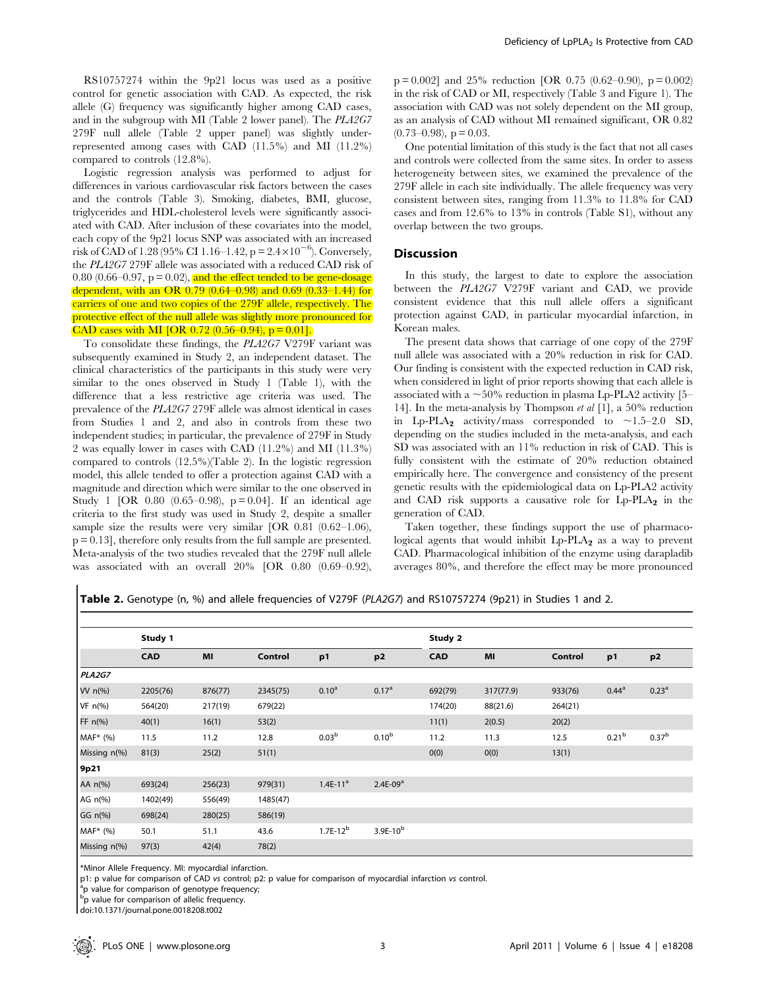RS10757274 within the 9p21 locus was used as a positive control for genetic association with CAD. As expected, the risk allele (G) frequency was significantly higher among CAD cases, and in the subgroup with MI (Table 2 lower panel). The PLA2G7 279F null allele (Table 2 upper panel) was slightly underrepresented among cases with CAD (11.5%) and MI (11.2%) compared to controls (12.8%).

Logistic regression analysis was performed to adjust for differences in various cardiovascular risk factors between the cases and the controls (Table 3). Smoking, diabetes, BMI, glucose, triglycerides and HDL-cholesterol levels were significantly associated with CAD. After inclusion of these covariates into the model, each copy of the 9p21 locus SNP was associated with an increased risk of CAD of 1.28 (95% CI 1.16–1.42, p =  $2.4 \times 10^{-6}$ ). Conversely, the PLA2G7 279F allele was associated with a reduced CAD risk of 0.80 (0.66–0.97,  $p = 0.02$ ), and the effect tended to be gene-dosage dependent, with an OR 0.79 (0.64–0.98) and 0.69 (0.33–1.44) for carriers of one and two copies of the 279F allele, respectively. The protective effect of the null allele was slightly more pronounced for CAD cases with MI [OR  $0.72$  (0.56–0.94), p = 0.01].

To consolidate these findings, the PLA2G7 V279F variant was subsequently examined in Study 2, an independent dataset. The clinical characteristics of the participants in this study were very similar to the ones observed in Study 1 (Table 1), with the difference that a less restrictive age criteria was used. The prevalence of the PLA2G7 279F allele was almost identical in cases from Studies 1 and 2, and also in controls from these two independent studies; in particular, the prevalence of 279F in Study 2 was equally lower in cases with CAD (11.2%) and MI (11.3%) compared to controls (12.5%)(Table 2). In the logistic regression model, this allele tended to offer a protection against CAD with a magnitude and direction which were similar to the one observed in Study 1 [OR 0.80  $(0.65-0.98)$ , p = 0.04]. If an identical age criteria to the first study was used in Study 2, despite a smaller sample size the results were very similar [OR 0.81 (0.62–1.06), p = 0.13], therefore only results from the full sample are presented. Meta-analysis of the two studies revealed that the 279F null allele was associated with an overall 20% [OR 0.80 (0.69–0.92),

 $p = 0.002$ ] and 25% reduction [OR 0.75 (0.62–0.90),  $p = 0.002$ ) in the risk of CAD or MI, respectively (Table 3 and Figure 1). The association with CAD was not solely dependent on the MI group, as an analysis of CAD without MI remained significant, OR 0.82  $(0.73-0.98)$ , p = 0.03.

One potential limitation of this study is the fact that not all cases and controls were collected from the same sites. In order to assess heterogeneity between sites, we examined the prevalence of the 279F allele in each site individually. The allele frequency was very consistent between sites, ranging from 11.3% to 11.8% for CAD cases and from 12.6% to 13% in controls (Table S1), without any overlap between the two groups.

### **Discussion**

In this study, the largest to date to explore the association between the PLA2G7 V279F variant and CAD, we provide consistent evidence that this null allele offers a significant protection against CAD, in particular myocardial infarction, in Korean males.

The present data shows that carriage of one copy of the 279F null allele was associated with a 20% reduction in risk for CAD. Our finding is consistent with the expected reduction in CAD risk, when considered in light of prior reports showing that each allele is associated with a  $\sim$  50% reduction in plasma Lp-PLA2 activity [5– 14]. In the meta-analysis by Thompson et al [1], a 50% reduction in Lp-PLA<sub>2</sub> activity/mass corresponded to  $\sim$ 1.5–2.0 SD, depending on the studies included in the meta-analysis, and each SD was associated with an 11% reduction in risk of CAD. This is fully consistent with the estimate of 20% reduction obtained empirically here. The convergence and consistency of the present genetic results with the epidemiological data on Lp-PLA2 activity and CAD risk supports a causative role for  $L_p-PLA_2$  in the generation of CAD.

Taken together, these findings support the use of pharmacological agents that would inhibit  $L_p-PLA_2$  as a way to prevent CAD. Pharmacological inhibition of the enzyme using darapladib averages 80%, and therefore the effect may be more pronounced

Table 2. Genotype (n, %) and allele frequencies of V279F (PLA2G7) and RS10757274 (9p21) in Studies 1 and 2.

|                | Study 1    |         |          |                   |                      | Study 2    |           |         |                   |                   |  |
|----------------|------------|---------|----------|-------------------|----------------------|------------|-----------|---------|-------------------|-------------------|--|
|                | <b>CAD</b> | MI      | Control  | p1                | p2                   | <b>CAD</b> | MI        | Control | p1                | p <sub>2</sub>    |  |
| PLA2G7         |            |         |          |                   |                      |            |           |         |                   |                   |  |
| W n(%)         | 2205(76)   | 876(77) | 2345(75) | 0.10 <sup>a</sup> | 0.17 <sup>a</sup>    | 692(79)    | 317(77.9) | 933(76) | $0.44^{a}$        | 0.23 <sup>a</sup> |  |
| $VF n(\%)$     | 564(20)    | 217(19) | 679(22)  |                   |                      | 174(20)    | 88(21.6)  | 264(21) |                   |                   |  |
| FF n(%)        | 40(1)      | 16(1)   | 53(2)    |                   |                      | 11(1)      | 2(0.5)    | 20(2)   |                   |                   |  |
| MAF* (%)       | 11.5       | 11.2    | 12.8     | 0.03 <sup>b</sup> | $0.10^{b}$           | 11.2       | 11.3      | 12.5    | 0.21 <sup>b</sup> | $0.37^{b}$        |  |
| Missing n(%)   | 81(3)      | 25(2)   | 51(1)    |                   |                      | 0(0)       | 0(0)      | 13(1)   |                   |                   |  |
| 9p21           |            |         |          |                   |                      |            |           |         |                   |                   |  |
| AA n(%)        | 693(24)    | 256(23) | 979(31)  | $1.4E-11a$        | $2.4E-09a$           |            |           |         |                   |                   |  |
| AG n(%)        | 1402(49)   | 556(49) | 1485(47) |                   |                      |            |           |         |                   |                   |  |
| $GG \n  n(\%)$ | 698(24)    | 280(25) | 586(19)  |                   |                      |            |           |         |                   |                   |  |
| MAF* (%)       | 50.1       | 51.1    | 43.6     | $1.7E-12^{b}$     | 3.9E-10 <sup>b</sup> |            |           |         |                   |                   |  |
| Missing n(%)   | 97(3)      | 42(4)   | 78(2)    |                   |                      |            |           |         |                   |                   |  |

\*Minor Allele Frequency. MI: myocardial infarction.

p1: p value for comparison of CAD vs control; p2: p value for comparison of myocardial infarction vs control.

<sup>a</sup>p value for comparison of genotype frequency;

bp value for comparison of allelic frequency.

doi:10.1371/journal.pone.0018208.t002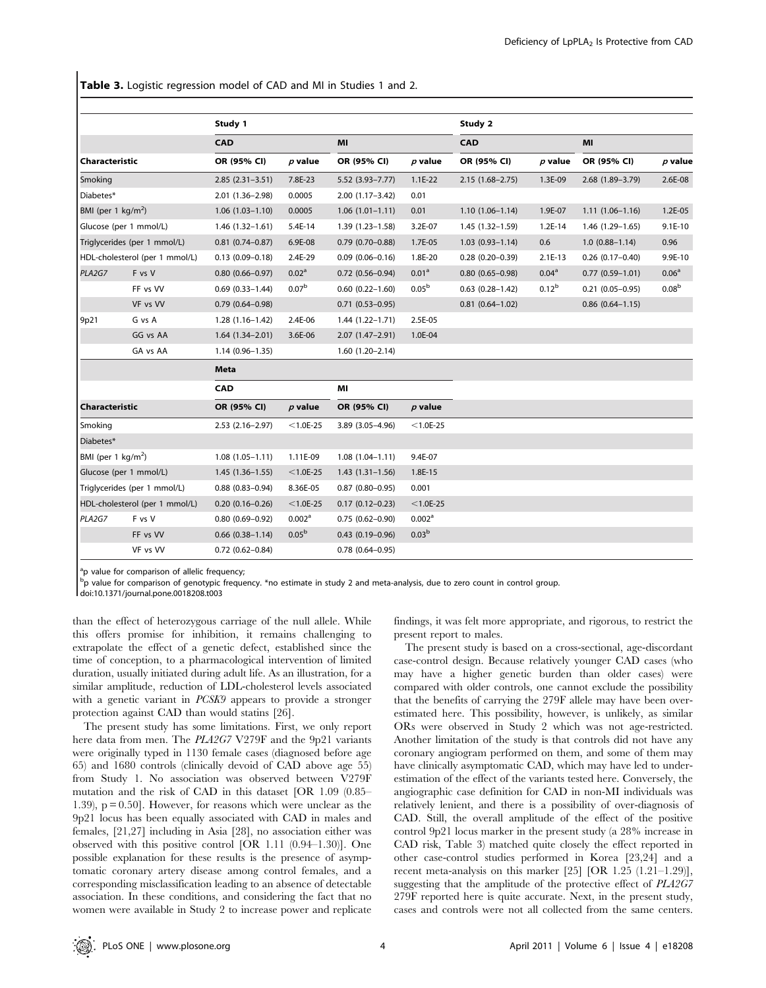Table 3. Logistic regression model of CAD and MI in Studies 1 and 2.

|                                |          | Study 1                |                    |                        |                    | Study 2                |                   |                        |                   |  |  |
|--------------------------------|----------|------------------------|--------------------|------------------------|--------------------|------------------------|-------------------|------------------------|-------------------|--|--|
| <b>Characteristic</b>          |          | <b>CAD</b>             |                    | MI                     |                    | <b>CAD</b>             |                   | MI                     |                   |  |  |
|                                |          | OR (95% CI)            | $p$ value          | OR (95% CI)            | $p$ value          | OR (95% CI)            | $p$ value         | OR (95% CI)            | $p$ value         |  |  |
| Smoking                        |          | $2.85(2.31-3.51)$      | 7.8E-23            | $5.52(3.93 - 7.77)$    | $1.1E-22$          | $2.15(1.68 - 2.75)$    | 1.3E-09           | 2.68 (1.89-3.79)       | 2.6E-08           |  |  |
| Diabetes*                      |          | 2.01 (1.36-2.98)       | 0.0005             | $2.00(1.17 - 3.42)$    | 0.01               |                        |                   |                        |                   |  |  |
| BMI (per 1 kg/m <sup>2</sup> ) |          | $1.06(1.03 - 1.10)$    | 0.0005             | $1.06(1.01-1.11)$      | 0.01               | $1.10(1.06 - 1.14)$    | 1.9E-07           | $1.11(1.06 - 1.16)$    | $1.2E-05$         |  |  |
| Glucose (per 1 mmol/L)         |          | $1.46(1.32 - 1.61)$    | 5.4E-14            | 1.39 (1.23-1.58)       | 3.2E-07            | 1.45 (1.32-1.59)       | $1.2E-14$         | 1.46 (1.29-1.65)       | $9.1E-10$         |  |  |
| Triglycerides (per 1 mmol/L)   |          | $0.81$ (0.74-0.87)     | 6.9E-08            | $0.79$ (0.70-0.88)     | 1.7E-05            | $1.03(0.93 - 1.14)$    | 0.6               | $1.0(0.88 - 1.14)$     | 0.96              |  |  |
| HDL-cholesterol (per 1 mmol/L) |          | $0.13(0.09 - 0.18)$    | 2.4E-29            | $0.09(0.06 - 0.16)$    | 1.8E-20            | $0.28(0.20 - 0.39)$    | $2.1E-13$         | $0.26$ (0.17-0.40)     | 9.9E-10           |  |  |
| PLA2G7                         | F vs V   | $0.80$ $(0.66 - 0.97)$ | 0.02 <sup>a</sup>  | $0.72$ (0.56-0.94)     | 0.01 <sup>a</sup>  | $0.80$ $(0.65 - 0.98)$ | 0.04 <sup>a</sup> | $0.77$ $(0.59 - 1.01)$ | 0.06 <sup>a</sup> |  |  |
|                                | FF vs VV | $0.69$ $(0.33-1.44)$   | 0.07 <sup>b</sup>  | $0.60$ $(0.22 - 1.60)$ | 0.05 <sup>b</sup>  | $0.63$ $(0.28 - 1.42)$ | $0.12^{b}$        | $0.21$ (0.05-0.95)     | 0.08 <sup>b</sup> |  |  |
|                                | VF vs VV | $0.79(0.64 - 0.98)$    |                    | $0.71(0.53 - 0.95)$    |                    | $0.81(0.64 - 1.02)$    |                   | $0.86$ $(0.64 - 1.15)$ |                   |  |  |
| 9p21                           | G vs A   | $1.28(1.16-1.42)$      | 2.4E-06            | $1.44(1.22 - 1.71)$    | 2.5E-05            |                        |                   |                        |                   |  |  |
|                                | GG vs AA | $1.64(1.34 - 2.01)$    | 3.6E-06            | 2.07 (1.47-2.91)       | 1.0E-04            |                        |                   |                        |                   |  |  |
|                                | GA vs AA | $1.14(0.96 - 1.35)$    |                    | $1.60(1.20-2.14)$      |                    |                        |                   |                        |                   |  |  |
|                                |          | <b>Meta</b>            |                    |                        |                    |                        |                   |                        |                   |  |  |
|                                |          | <b>CAD</b>             |                    | MI                     |                    |                        |                   |                        |                   |  |  |
| Characteristic                 |          | OR (95% CI)            | $p$ value          | OR (95% CI)            | $p$ value          |                        |                   |                        |                   |  |  |
| Smoking                        |          | $2.53$ $(2.16 - 2.97)$ | $< 1.0E - 25$      | 3.89 (3.05-4.96)       | $< 1.0E - 25$      |                        |                   |                        |                   |  |  |
| Diabetes*                      |          |                        |                    |                        |                    |                        |                   |                        |                   |  |  |
| BMI (per 1 $\text{kg/m}^2$ )   |          | $1.08(1.05 - 1.11)$    | 1.11E-09           | $1.08(1.04 - 1.11)$    | 9.4E-07            |                        |                   |                        |                   |  |  |
| Glucose (per 1 mmol/L)         |          | $1.45(1.36-1.55)$      | $< 1.0E - 25$      | $1.43(1.31-1.56)$      | 1.8E-15            |                        |                   |                        |                   |  |  |
| Triglycerides (per 1 mmol/L)   |          | $0.88$ $(0.83 - 0.94)$ | 8.36E-05           | $0.87(0.80 - 0.95)$    | 0.001              |                        |                   |                        |                   |  |  |
| HDL-cholesterol (per 1 mmol/L) |          | $0.20(0.16 - 0.26)$    | $< 1.0E - 25$      | $0.17(0.12 - 0.23)$    | $<$ 1.0E-25        |                        |                   |                        |                   |  |  |
| PLA2G7                         | F vs V   | $0.80(0.69 - 0.92)$    | 0.002 <sup>a</sup> | $0.75(0.62 - 0.90)$    | 0.002 <sup>a</sup> |                        |                   |                        |                   |  |  |
|                                | FF vs VV | $0.66$ $(0.38-1.14)$   | 0.05 <sup>b</sup>  | $0.43$ (0.19-0.96)     | 0.03 <sup>b</sup>  |                        |                   |                        |                   |  |  |
|                                | VF vs VV | $0.72$ $(0.62 - 0.84)$ |                    | $0.78$ $(0.64 - 0.95)$ |                    |                        |                   |                        |                   |  |  |

<sup>a</sup>p value for comparison of allelic frequency;

<sup>b</sup>p value for comparison of genotypic frequency. \*no estimate in study 2 and meta-analysis, due to zero count in control group.

doi:10.1371/journal.pone.0018208.t003

than the effect of heterozygous carriage of the null allele. While this offers promise for inhibition, it remains challenging to extrapolate the effect of a genetic defect, established since the time of conception, to a pharmacological intervention of limited duration, usually initiated during adult life. As an illustration, for a similar amplitude, reduction of LDL-cholesterol levels associated with a genetic variant in PCSK9 appears to provide a stronger protection against CAD than would statins [26].

The present study has some limitations. First, we only report here data from men. The PLA2G7 V279F and the 9p21 variants were originally typed in 1130 female cases (diagnosed before age 65) and 1680 controls (clinically devoid of CAD above age 55) from Study 1. No association was observed between V279F mutation and the risk of CAD in this dataset [OR 1.09 (0.85– 1.39),  $p = 0.50$ . However, for reasons which were unclear as the 9p21 locus has been equally associated with CAD in males and females, [21,27] including in Asia [28], no association either was observed with this positive control [OR 1.11 (0.94–1.30)]. One possible explanation for these results is the presence of asymptomatic coronary artery disease among control females, and a corresponding misclassification leading to an absence of detectable association. In these conditions, and considering the fact that no women were available in Study 2 to increase power and replicate findings, it was felt more appropriate, and rigorous, to restrict the present report to males.

The present study is based on a cross-sectional, age-discordant case-control design. Because relatively younger CAD cases (who may have a higher genetic burden than older cases) were compared with older controls, one cannot exclude the possibility that the benefits of carrying the 279F allele may have been overestimated here. This possibility, however, is unlikely, as similar ORs were observed in Study 2 which was not age-restricted. Another limitation of the study is that controls did not have any coronary angiogram performed on them, and some of them may have clinically asymptomatic CAD, which may have led to underestimation of the effect of the variants tested here. Conversely, the angiographic case definition for CAD in non-MI individuals was relatively lenient, and there is a possibility of over-diagnosis of CAD. Still, the overall amplitude of the effect of the positive control 9p21 locus marker in the present study (a 28% increase in CAD risk, Table 3) matched quite closely the effect reported in other case-control studies performed in Korea [23,24] and a recent meta-analysis on this marker [25] [OR 1.25 (1.21–1.29)], suggesting that the amplitude of the protective effect of PLA2G7 279F reported here is quite accurate. Next, in the present study, cases and controls were not all collected from the same centers.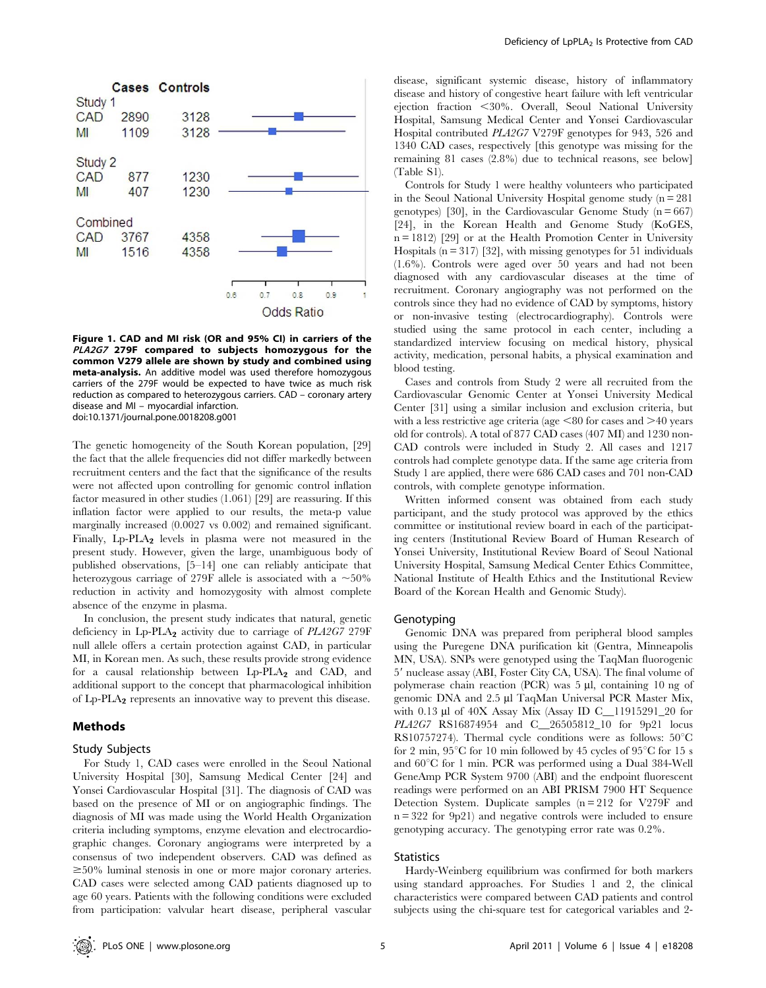

Figure 1. CAD and MI risk (OR and 95% CI) in carriers of the PLA2G7 279F compared to subjects homozygous for the common V279 allele are shown by study and combined using meta-analysis. An additive model was used therefore homozygous carriers of the 279F would be expected to have twice as much risk reduction as compared to heterozygous carriers. CAD – coronary artery disease and MI – myocardial infarction. doi:10.1371/journal.pone.0018208.g001

The genetic homogeneity of the South Korean population, [29] the fact that the allele frequencies did not differ markedly between recruitment centers and the fact that the significance of the results were not affected upon controlling for genomic control inflation factor measured in other studies (1.061) [29] are reassuring. If this inflation factor were applied to our results, the meta-p value marginally increased (0.0027 vs 0.002) and remained significant. Finally, Lp-PLA<sub>2</sub> levels in plasma were not measured in the present study. However, given the large, unambiguous body of published observations, [5–14] one can reliably anticipate that heterozygous carriage of 279F allele is associated with a  $\sim$  50% reduction in activity and homozygosity with almost complete absence of the enzyme in plasma.

In conclusion, the present study indicates that natural, genetic deficiency in Lp-PLA<sub>2</sub> activity due to carriage of  $PLA2G7$  279F null allele offers a certain protection against CAD, in particular MI, in Korean men. As such, these results provide strong evidence for a causal relationship between  $L_p$ -PLA<sub>2</sub> and CAD, and additional support to the concept that pharmacological inhibition of Lp-PLA<sup>2</sup> represents an innovative way to prevent this disease.

#### Methods

#### Study Subjects

For Study 1, CAD cases were enrolled in the Seoul National University Hospital [30], Samsung Medical Center [24] and Yonsei Cardiovascular Hospital [31]. The diagnosis of CAD was based on the presence of MI or on angiographic findings. The diagnosis of MI was made using the World Health Organization criteria including symptoms, enzyme elevation and electrocardiographic changes. Coronary angiograms were interpreted by a consensus of two independent observers. CAD was defined as  $\geq$ 50% luminal stenosis in one or more major coronary arteries. CAD cases were selected among CAD patients diagnosed up to age 60 years. Patients with the following conditions were excluded from participation: valvular heart disease, peripheral vascular disease, significant systemic disease, history of inflammatory disease and history of congestive heart failure with left ventricular ejection fraction <30%. Overall, Seoul National University Hospital, Samsung Medical Center and Yonsei Cardiovascular Hospital contributed PLA2G7 V279F genotypes for 943, 526 and 1340 CAD cases, respectively [this genotype was missing for the remaining 81 cases (2.8%) due to technical reasons, see below] (Table S1).

Controls for Study 1 were healthy volunteers who participated in the Seoul National University Hospital genome study  $(n = 281)$ genotypes) [30], in the Cardiovascular Genome Study  $(n = 667)$ [24], in the Korean Health and Genome Study (KoGES,  $n = 1812$  [29] or at the Health Promotion Center in University Hospitals  $(n = 317)$  [32], with missing genotypes for 51 individuals (1.6%). Controls were aged over 50 years and had not been diagnosed with any cardiovascular diseases at the time of recruitment. Coronary angiography was not performed on the controls since they had no evidence of CAD by symptoms, history or non-invasive testing (electrocardiography). Controls were studied using the same protocol in each center, including a standardized interview focusing on medical history, physical activity, medication, personal habits, a physical examination and blood testing.

Cases and controls from Study 2 were all recruited from the Cardiovascular Genomic Center at Yonsei University Medical Center [31] using a similar inclusion and exclusion criteria, but with a less restrictive age criteria (age  $\leq 80$  for cases and  $\geq 40$  years old for controls). A total of 877 CAD cases (407 MI) and 1230 non-CAD controls were included in Study 2. All cases and 1217 controls had complete genotype data. If the same age criteria from Study 1 are applied, there were 686 CAD cases and 701 non-CAD controls, with complete genotype information.

Written informed consent was obtained from each study participant, and the study protocol was approved by the ethics committee or institutional review board in each of the participating centers (Institutional Review Board of Human Research of Yonsei University, Institutional Review Board of Seoul National University Hospital, Samsung Medical Center Ethics Committee, National Institute of Health Ethics and the Institutional Review Board of the Korean Health and Genomic Study).

## Genotyping

Genomic DNA was prepared from peripheral blood samples using the Puregene DNA purification kit (Gentra, Minneapolis MN, USA). SNPs were genotyped using the TaqMan fluorogenic 5' nuclease assay (ABI, Foster City CA, USA). The final volume of polymerase chain reaction (PCR) was  $5 \mu l$ , containing 10 ng of genomic DNA and 2.5 µl TaqMan Universal PCR Master Mix, with 0.13 µl of 40X Assay Mix (Assay ID C\_11915291\_20 for PLA2G7 RS16874954 and C 26505812 10 for 9p21 locus RS10757274). Thermal cycle conditions were as follows:  $50^{\circ}$ C for 2 min,  $95^{\circ}$ C for 10 min followed by 45 cycles of  $95^{\circ}$ C for 15 s and  $60^{\circ}$ C for 1 min. PCR was performed using a Dual 384-Well GeneAmp PCR System 9700 (ABI) and the endpoint fluorescent readings were performed on an ABI PRISM 7900 HT Sequence Detection System. Duplicate samples  $(n = 212$  for V279F and n = 322 for 9p21) and negative controls were included to ensure genotyping accuracy. The genotyping error rate was 0.2%.

# **Statistics**

Hardy-Weinberg equilibrium was confirmed for both markers using standard approaches. For Studies 1 and 2, the clinical characteristics were compared between CAD patients and control subjects using the chi-square test for categorical variables and 2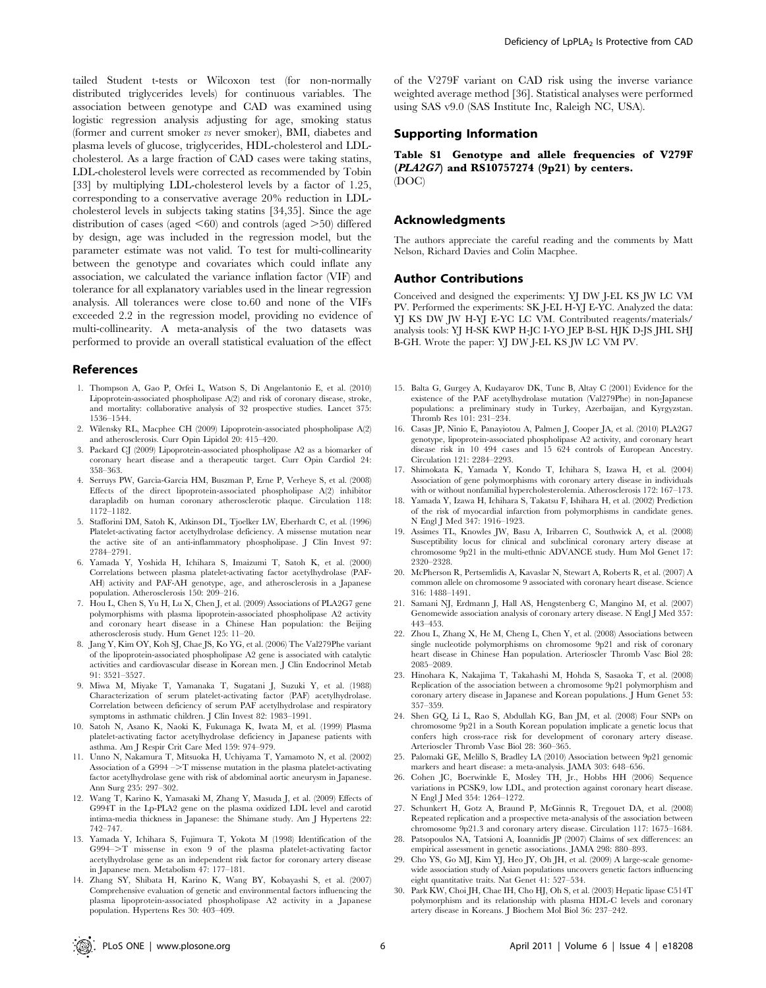tailed Student t-tests or Wilcoxon test (for non-normally distributed triglycerides levels) for continuous variables. The association between genotype and CAD was examined using logistic regression analysis adjusting for age, smoking status (former and current smoker vs never smoker), BMI, diabetes and plasma levels of glucose, triglycerides, HDL-cholesterol and LDLcholesterol. As a large fraction of CAD cases were taking statins, LDL-cholesterol levels were corrected as recommended by Tobin [33] by multiplying LDL-cholesterol levels by a factor of 1.25, corresponding to a conservative average 20% reduction in LDLcholesterol levels in subjects taking statins [34,35]. Since the age distribution of cases (aged  $\leq 60$ ) and controls (aged  $\geq 50$ ) differed by design, age was included in the regression model, but the parameter estimate was not valid. To test for multi-collinearity between the genotype and covariates which could inflate any association, we calculated the variance inflation factor (VIF) and tolerance for all explanatory variables used in the linear regression analysis. All tolerances were close to.60 and none of the VIFs exceeded 2.2 in the regression model, providing no evidence of multi-collinearity. A meta-analysis of the two datasets was performed to provide an overall statistical evaluation of the effect

#### References

- 1. Thompson A, Gao P, Orfei L, Watson S, Di Angelantonio E, et al. (2010) Lipoprotein-associated phospholipase A(2) and risk of coronary disease, stroke, and mortality: collaborative analysis of 32 prospective studies. Lancet 375: 1536–1544.
- 2. Wilensky RL, Macphee CH (2009) Lipoprotein-associated phospholipase A(2) and atherosclerosis. Curr Opin Lipidol 20: 415–420.
- 3. Packard CJ (2009) Lipoprotein-associated phospholipase A2 as a biomarker of coronary heart disease and a therapeutic target. Curr Opin Cardiol 24: 358–363.
- 4. Serruys PW, Garcia-Garcia HM, Buszman P, Erne P, Verheye S, et al. (2008) Effects of the direct lipoprotein-associated phospholipase A(2) inhibitor darapladib on human coronary atherosclerotic plaque. Circulation 118: 1172–1182.
- 5. Stafforini DM, Satoh K, Atkinson DL, Tjoelker LW, Eberhardt C, et al. (1996) Platelet-activating factor acetylhydrolase deficiency. A missense mutation near the active site of an anti-inflammatory phospholipase. J Clin Invest 97: 2784–2791.
- 6. Yamada Y, Yoshida H, Ichihara S, Imaizumi T, Satoh K, et al. (2000) Correlations between plasma platelet-activating factor acetylhydrolase (PAF-AH) activity and PAF-AH genotype, age, and atherosclerosis in a Japanese population. Atherosclerosis 150: 209–216.
- 7. Hou L, Chen S, Yu H, Lu X, Chen J, et al. (2009) Associations of PLA2G7 gene polymorphisms with plasma lipoprotein-associated phospholipase A2 activity and coronary heart disease in a Chinese Han population: the Beijing atherosclerosis study. Hum Genet 125: 11–20.
- Jang Y, Kim OY, Koh SJ, Chae JS, Ko YG, et al. (2006) The Val279Phe variant of the lipoprotein-associated phospholipase A2 gene is associated with catalytic activities and cardiovascular disease in Korean men. J Clin Endocrinol Metab 91: 3521–3527.
- 9. Miwa M, Miyake T, Yamanaka T, Sugatani J, Suzuki Y, et al. (1988) Characterization of serum platelet-activating factor (PAF) acetylhydrolase. Correlation between deficiency of serum PAF acetylhydrolase and respiratory symptoms in asthmatic children. J Clin Invest 82: 1983–1991.
- 10. Satoh N, Asano K, Naoki K, Fukunaga K, Iwata M, et al. (1999) Plasma platelet-activating factor acetylhydrolase deficiency in Japanese patients with asthma. Am J Respir Crit Care Med 159: 974–979.
- 11. Unno N, Nakamura T, Mitsuoka H, Uchiyama T, Yamamoto N, et al. (2002) Association of a G994  $\Rightarrow$  T missense mutation in the plasma platelet-activating factor acetylhydrolase gene with risk of abdominal aortic aneurysm in Japanese. Ann Surg 235: 297–302.
- 12. Wang T, Karino K, Yamasaki M, Zhang Y, Masuda J, et al. (2009) Effects of G994T in the Lp-PLA2 gene on the plasma oxidized LDL level and carotid intima-media thickness in Japanese: the Shimane study. Am J Hypertens 22: 742–747.
- 13. Yamada Y, Ichihara S, Fujimura T, Yokota M (1998) Identification of the G994->T missense in exon 9 of the plasma platelet-activating factor acetylhydrolase gene as an independent risk factor for coronary artery disease in Japanese men. Metabolism 47: 177–181.
- 14. Zhang SY, Shibata H, Karino K, Wang BY, Kobayashi S, et al. (2007) Comprehensive evaluation of genetic and environmental factors influencing the plasma lipoprotein-associated phospholipase A2 activity in a Japanese population. Hypertens Res 30: 403–409.

of the V279F variant on CAD risk using the inverse variance weighted average method [36]. Statistical analyses were performed using SAS v9.0 (SAS Institute Inc, Raleigh NC, USA).

# Supporting Information

Table S1 Genotype and allele frequencies of V279F  $(PLA2G7)$  and RS10757274 (9p21) by centers. (DOC)

# Acknowledgments

The authors appreciate the careful reading and the comments by Matt Nelson, Richard Davies and Colin Macphee.

# Author Contributions

Conceived and designed the experiments: YJ DW J-EL KS JW LC VM PV. Performed the experiments: SK J-EL H-YJ E-YC. Analyzed the data: YJ KS DW JW H-YJ E-YC LC VM. Contributed reagents/materials/ analysis tools: YJ H-SK KWP H-JC I-YO JEP B-SL HJK D-JS JHL SHJ B-GH. Wrote the paper: YJ DW J-EL KS JW LC VM PV.

- 15. Balta G, Gurgey A, Kudayarov DK, Tunc B, Altay C (2001) Evidence for the existence of the PAF acetylhydrolase mutation (Val279Phe) in non-Japanese populations: a preliminary study in Turkey, Azerbaijan, and Kyrgyzstan. Thromb Res 101: 231–234.
- 16. Casas JP, Ninio E, Panayiotou A, Palmen J, Cooper JA, et al. (2010) PLA2G7 genotype, lipoprotein-associated phospholipase A2 activity, and coronary heart disease risk in 10 494 cases and 15 624 controls of European Ancestry. Circulation 121: 2284–2293.
- 17. Shimokata K, Yamada Y, Kondo T, Ichihara S, Izawa H, et al. (2004) Association of gene polymorphisms with coronary artery disease in individuals with or without nonfamilial hypercholesterolemia. Atherosclerosis 172: 167–173.
- 18. Yamada Y, Izawa H, Ichihara S, Takatsu F, Ishihara H, et al. (2002) Prediction of the risk of myocardial infarction from polymorphisms in candidate genes. N Engl J Med 347: 1916–1923.
- 19. Assimes TL, Knowles JW, Basu A, Iribarren C, Southwick A, et al. (2008) Susceptibility locus for clinical and subclinical coronary artery disease at chromosome 9p21 in the multi-ethnic ADVANCE study. Hum Mol Genet 17: 2320–2328.
- 20. McPherson R, Pertsemlidis A, Kavaslar N, Stewart A, Roberts R, et al. (2007) A common allele on chromosome 9 associated with coronary heart disease. Science 316: 1488–1491.
- 21. Samani NJ, Erdmann J, Hall AS, Hengstenberg C, Mangino M, et al. (2007) Genomewide association analysis of coronary artery disease. N Engl J Med 357: 443–453.
- 22. Zhou L, Zhang X, He M, Cheng L, Chen Y, et al. (2008) Associations between single nucleotide polymorphisms on chromosome 9p21 and risk of coronary heart disease in Chinese Han population. Arterioscler Thromb Vasc Biol 28: 2085–2089.
- 23. Hinohara K, Nakajima T, Takahashi M, Hohda S, Sasaoka T, et al. (2008) Replication of the association between a chromosome 9p21 polymorphism and coronary artery disease in Japanese and Korean populations. J Hum Genet 53: 357–359.
- 24. Shen GQ, Li L, Rao S, Abdullah KG, Ban JM, et al. (2008) Four SNPs on chromosome 9p21 in a South Korean population implicate a genetic locus that confers high cross-race risk for development of coronary artery disease. Arterioscler Thromb Vasc Biol 28: 360–365.
- 25. Palomaki GE, Melillo S, Bradley LA (2010) Association between 9p21 genomic markers and heart disease: a meta-analysis. JAMA 303: 648–656.
- 26. Cohen JC, Boerwinkle E, Mosley TH, Jr., Hobbs HH (2006) Sequence variations in PCSK9, low LDL, and protection against coronary heart disease. N Engl J Med 354: 1264–1272.
- 27. Schunkert H, Gotz A, Braund P, McGinnis R, Tregouet DA, et al. (2008) Repeated replication and a prospective meta-analysis of the association between chromosome 9p21.3 and coronary artery disease. Circulation 117: 1675–1684.
- 28. Patsopoulos NA, Tatsioni A, Ioannidis JP (2007) Claims of sex differences: an empirical assessment in genetic associations. JAMA 298: 880–893.
- 29. Cho YS, Go MJ, Kim YJ, Heo JY, Oh JH, et al. (2009) A large-scale genomewide association study of Asian populations uncovers genetic factors influencing eight quantitative traits. Nat Genet 41: 527–534.
- 30. Park KW, Choi JH, Chae IH, Cho HJ, Oh S, et al. (2003) Hepatic lipase C514T polymorphism and its relationship with plasma HDL-C levels and coronary artery disease in Koreans. J Biochem Mol Biol 36: 237–242.